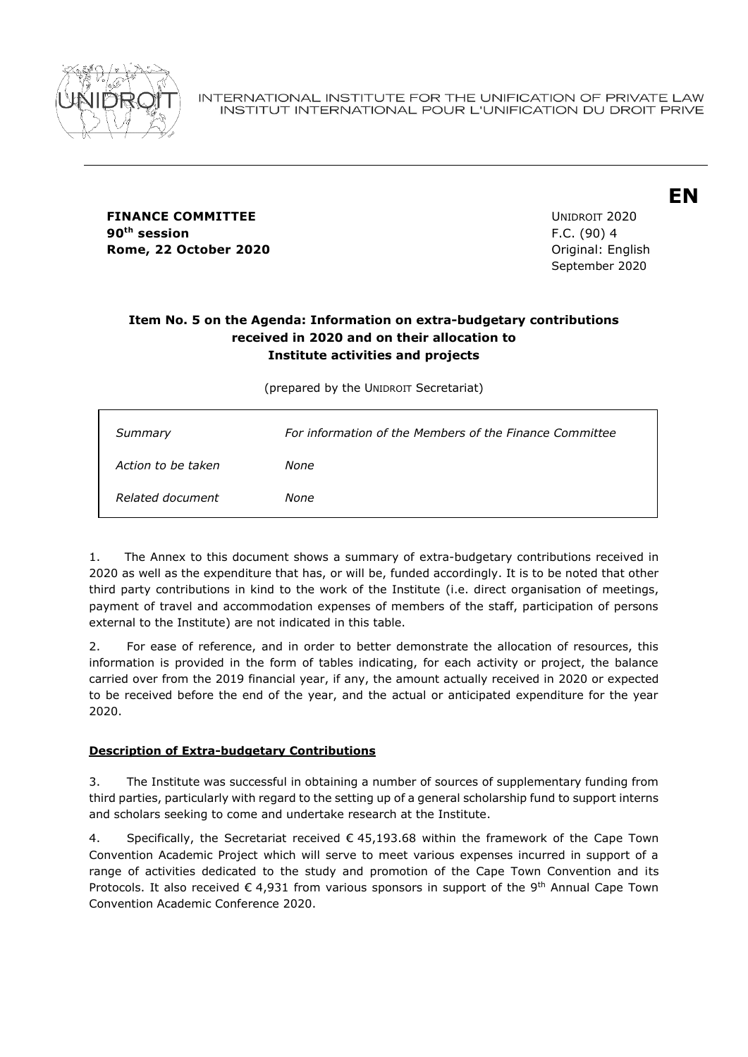

**FINANCE COMMITTEE EXAMPLE 2020 90th session** F.C. (90) 4 **Rome, 22 October 2020 Original: English** 

September 2020

**EN**

## **Item No. 5 on the Agenda: Information on extra-budgetary contributions received in 2020 and on their allocation to Institute activities and projects**

(prepared by the UNIDROIT Secretariat)

| Summary            | For information of the Members of the Finance Committee |
|--------------------|---------------------------------------------------------|
| Action to be taken | None                                                    |
| Related document   | None                                                    |

1. The Annex to this document shows a summary of extra-budgetary contributions received in 2020 as well as the expenditure that has, or will be, funded accordingly. It is to be noted that other third party contributions in kind to the work of the Institute (i.e. direct organisation of meetings, payment of travel and accommodation expenses of members of the staff, participation of persons external to the Institute) are not indicated in this table.

2. For ease of reference, and in order to better demonstrate the allocation of resources, this information is provided in the form of tables indicating, for each activity or project, the balance carried over from the 2019 financial year, if any, the amount actually received in 2020 or expected to be received before the end of the year, and the actual or anticipated expenditure for the year 2020.

## **Description of Extra-budgetary Contributions**

3. The Institute was successful in obtaining a number of sources of supplementary funding from third parties, particularly with regard to the setting up of a general scholarship fund to support interns and scholars seeking to come and undertake research at the Institute.

4. Specifically, the Secretariat received  $\epsilon$  45,193.68 within the framework of the Cape Town Convention Academic Project which will serve to meet various expenses incurred in support of a range of activities dedicated to the study and promotion of the Cape Town Convention and its Protocols. It also received  $\epsilon$  4,931 from various sponsors in support of the 9<sup>th</sup> Annual Cape Town Convention Academic Conference 2020.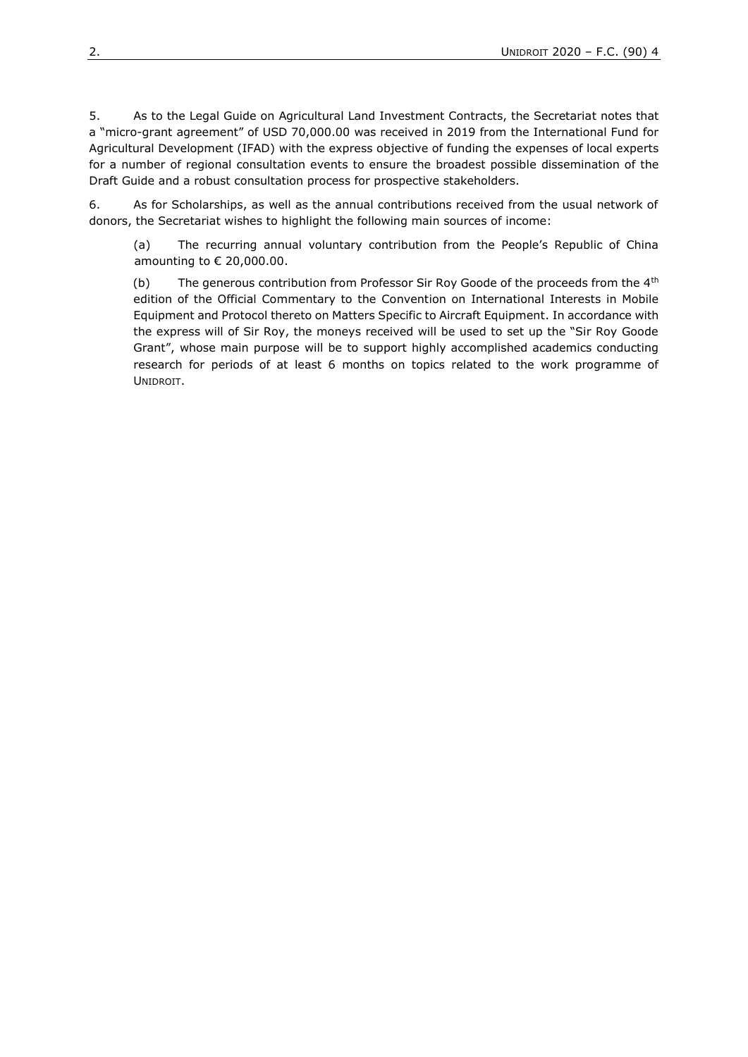5. As to the Legal Guide on Agricultural Land Investment Contracts, the Secretariat notes that a "micro-grant agreement" of USD 70,000.00 was received in 2019 from the International Fund for Agricultural Development (IFAD) with the express objective of funding the expenses of local experts for a number of regional consultation events to ensure the broadest possible dissemination of the Draft Guide and a robust consultation process for prospective stakeholders.

6. As for Scholarships, as well as the annual contributions received from the usual network of donors, the Secretariat wishes to highlight the following main sources of income:

(a) The recurring annual voluntary contribution from the People's Republic of China amounting to  $\epsilon$  20,000.00.

(b) The generous contribution from Professor Sir Roy Goode of the proceeds from the  $4<sup>th</sup>$ edition of the Official Commentary to the Convention on International Interests in Mobile Equipment and Protocol thereto on Matters Specific to Aircraft Equipment. In accordance with the express will of Sir Roy, the moneys received will be used to set up the "Sir Roy Goode Grant", whose main purpose will be to support highly accomplished academics conducting research for periods of at least 6 months on topics related to the work programme of UNIDROIT.